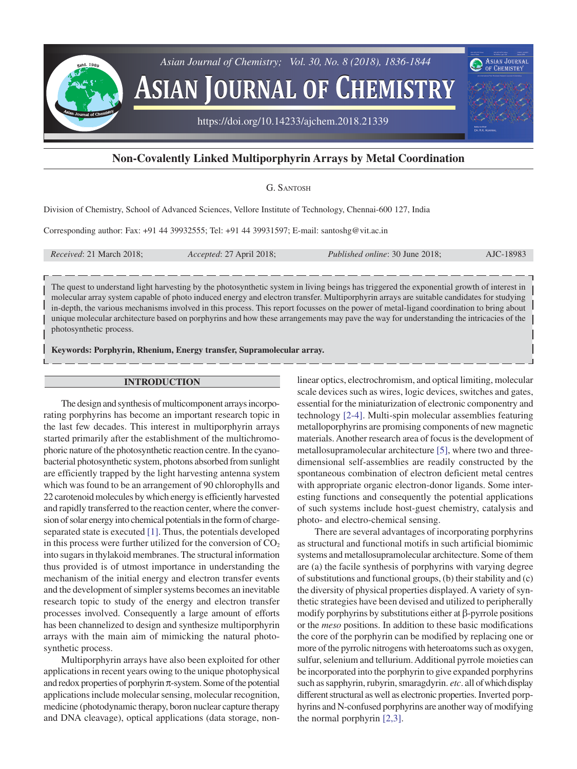

# **Non-Covalently Linked Multiporphyrin Arrays by Metal Coordination**

## G. SANTOSH

Division of Chemistry, School of Advanced Sciences, Vellore Institute of Technology, Chennai-600 127, India

Corresponding author: Fax: +91 44 39932555; Tel: +91 44 39931597; E-mail: santoshg@vit.ac.in

*Received*: 21 March 2018; *Accepted*: 27 April 2018; *Published online*: 30 June 2018; AJC-18983

The quest to understand light harvesting by the photosynthetic system in living beings has triggered the exponential growth of interest in molecular array system capable of photo induced energy and electron transfer. Multiporphyrin arrays are suitable candidates for studying in-depth, the various mechanisms involved in this process. This report focusses on the power of metal-ligand coordination to bring about unique molecular architecture based on porphyrins and how these arrangements may pave the way for understanding the intricacies of the photosynthetic process.

**Keywords: Porphyrin, Rhenium, Energy transfer, Supramolecular array.**

#### **INTRODUCTION**

The design and synthesis of multicomponent arrays incorporating porphyrins has become an important research topic in the last few decades. This interest in multiporphyrin arrays started primarily after the establishment of the multichromophoric nature of the photosynthetic reaction centre. In the cyanobacterial photosynthetic system, photons absorbed from sunlight are efficiently trapped by the light harvesting antenna system which was found to be an arrangement of 90 chlorophylls and 22 carotenoid molecules by which energy is efficiently harvested and rapidly transferred to the reaction center, where the conversion of solar energy into chemical potentials in the form of chargeseparated state is executed [\[1\]](#page-8-0). Thus, the potentials developed in this process were further utilized for the conversion of  $CO<sub>2</sub>$ into sugars in thylakoid membranes. The structural information thus provided is of utmost importance in understanding the mechanism of the initial energy and electron transfer events and the development of simpler systems becomes an inevitable research topic to study of the energy and electron transfer processes involved. Consequently a large amount of efforts has been channelized to design and synthesize multiporphyrin arrays with the main aim of mimicking the natural photosynthetic process.

Multiporphyrin arrays have also been exploited for other applications in recent years owing to the unique photophysical and redox properties of porphyrin  $\pi$ -system. Some of the potential applications include molecular sensing, molecular recognition, medicine (photodynamic therapy, boron nuclear capture therapy and DNA cleavage), optical applications (data storage, non-

linear optics, electrochromism, and optical limiting, molecular scale devices such as wires, logic devices, switches and gates, essential for the miniaturization of electronic componentry and technology [\[2-4\].](#page-8-0) Multi-spin molecular assemblies featuring metalloporphyrins are promising components of new magnetic materials. Another research area of focus is the development of metallosupramolecular architecture [\[5\]](#page-8-0), where two and threedimensional self-assemblies are readily constructed by the spontaneous combination of electron deficient metal centres with appropriate organic electron-donor ligands. Some interesting functions and consequently the potential applications of such systems include host-guest chemistry, catalysis and photo- and electro-chemical sensing.

There are several advantages of incorporating porphyrins as structural and functional motifs in such artificial biomimic systems and metallosupramolecular architecture. Some of them are (a) the facile synthesis of porphyrins with varying degree of substitutions and functional groups, (b) their stability and (c) the diversity of physical properties displayed. A variety of synthetic strategies have been devised and utilized to peripherally modify porphyrins by substitutions either at β-pyrrole positions or the *meso* positions. In addition to these basic modifications the core of the porphyrin can be modified by replacing one or more of the pyrrolic nitrogens with heteroatoms such as oxygen, sulfur, selenium and tellurium. Additional pyrrole moieties can be incorporated into the porphyrin to give expanded porphyrins such as sapphyrin, rubyrin, smaragdyrin. *etc*. all of which display different structural as well as electronic properties. Inverted porphyrins and N-confused porphyrins are another way of modifying the normal porphyrin [\[2,3\]](#page-8-0).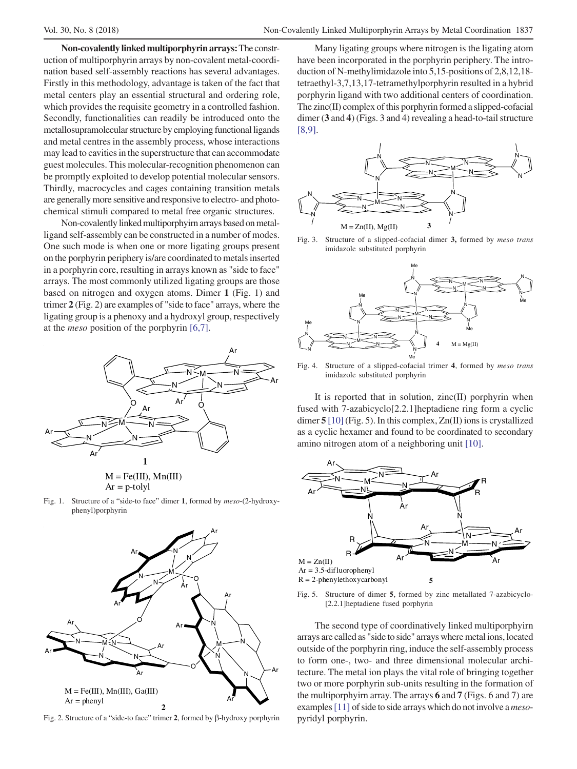**Non-covalently linked multiporphyrin arrays:** The construction of multiporphyrin arrays by non-covalent metal-coordination based self-assembly reactions has several advantages. Firstly in this methodology, advantage is taken of the fact that metal centers play an essential structural and ordering role, which provides the requisite geometry in a controlled fashion. Secondly, functionalities can readily be introduced onto the metallosupramolecular structure by employing functional ligands and metal centres in the assembly process, whose interactions may lead to cavities in the superstructure that can accommodate guest molecules. This molecular-recognition phenomenon can be promptly exploited to develop potential molecular sensors. Thirdly, macrocycles and cages containing transition metals are generally more sensitive and responsive to electro- and photochemical stimuli compared to metal free organic structures.

Non-covalently linked multiporphyirn arrays based on metalligand self-assembly can be constructed in a number of modes. One such mode is when one or more ligating groups present on the porphyrin periphery is/are coordinated to metals inserted in a porphyrin core, resulting in arrays known as "side to face" arrays. The most commonly utilized ligating groups are those based on nitrogen and oxygen atoms. Dimer **1** (Fig. 1) and trimer **2** (Fig. 2) are examples of "side to face" arrays, where the ligating group is a phenoxy and a hydroxyl group, respectively at the *meso* position of the porphyrin [\[6,7\]](#page-8-0).





Fig. 1. Structure of a "side-to face" dimer **1**, formed by *meso*-(2-hydroxyphenyl)porphyrin



Fig. 2. Structure of a "side-to face" trimer **2**, formed by β-hydroxy porphyrin

Many ligating groups where nitrogen is the ligating atom have been incorporated in the porphyrin periphery. The introduction of N-methylimidazole into 5,15-positions of 2,8,12,18 tetraethyl-3,7,13,17-tetramethylporphyrin resulted in a hybrid porphyrin ligand with two additional centers of coordination. The zinc(II) complex of this porphyrin formed a slipped-cofacial dimer (**3** and **4**) (Figs. 3 and 4) revealing a head-to-tail structure  $[8,9]$ .



Fig. 3. Structure of a slipped-cofacial dimer **3,** formed by *meso trans* imidazole substituted porphyrin



Fig. 4. Structure of a slipped-cofacial trimer **4**, formed by *meso trans* imidazole substituted porphyrin

It is reported that in solution, zinc(II) porphyrin when fused with 7-azabicyclo[2.2.1]heptadiene ring form a cyclic dimer **5** [\[10\]](#page-8-0) (Fig. 5). In this complex, Zn(II) ions is crystallized as a cyclic hexamer and found to be coordinated to secondary amino nitrogen atom of a neighboring unit [\[10\]](#page-8-0).



Fig. 5. Structure of dimer **5**, formed by zinc metallated 7-azabicyclo- [2.2.1]heptadiene fused porphyrin

The second type of coordinatively linked multiporphyirn arrays are called as "side to side" arrays where metal ions, located outside of the porphyrin ring, induce the self-assembly process to form one-, two- and three dimensional molecular architecture. The metal ion plays the vital role of bringing together two or more porphyrin sub-units resulting in the formation of the multiporphyirn array. The arrays **6** and **7** (Figs. 6 and 7) are examples [\[11\]](#page-8-0) of side to side arrays which do not involve a *meso*pyridyl porphyrin.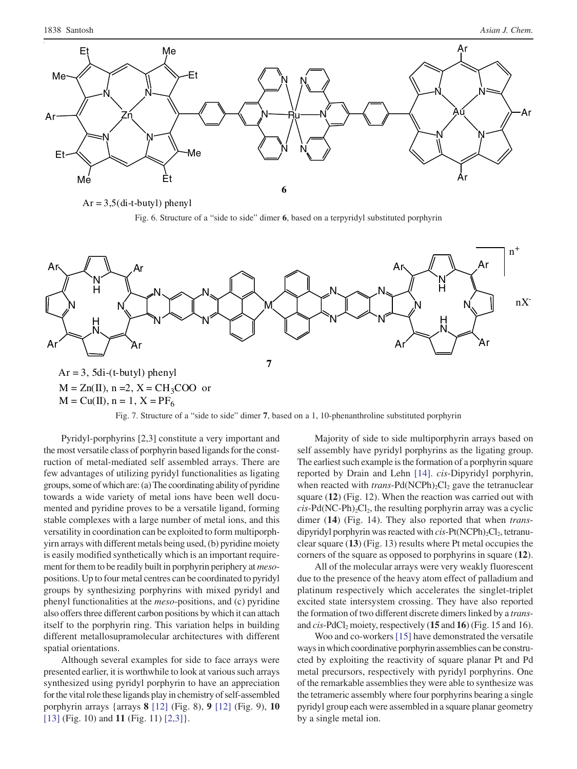

 $Ar = 3,5$ (di-t-butyl) phenyl

Fig. 6. Structure of a "side to side" dimer **6**, based on a terpyridyl substituted porphyrin



Fig. 7. Structure of a "side to side" dimer **7**, based on a 1, 10-phenanthroline substituted porphyrin

Pyridyl-porphyrins [2,3] constitute a very important and the most versatile class of porphyrin based ligands for the construction of metal-mediated self assembled arrays. There are few advantages of utilizing pyridyl functionalities as ligating groups, some of which are: (a) The coordinating ability of pyridine towards a wide variety of metal ions have been well documented and pyridine proves to be a versatile ligand, forming stable complexes with a large number of metal ions, and this versatility in coordination can be exploited to form multiporphyirn arrays with different metals being used, (b) pyridine moiety is easily modified synthetically which is an important requirement for them to be readily built in porphyrin periphery at *meso*positions. Up to four metal centres can be coordinated to pyridyl groups by synthesizing porphyrins with mixed pyridyl and phenyl functionalities at the *meso*-positions, and (c) pyridine also offers three different carbon positions by which it can attach itself to the porphyrin ring. This variation helps in building different metallosupramolecular architectures with different spatial orientations.

Although several examples for side to face arrays were presented earlier, it is worthwhile to look at various such arrays synthesized using pyridyl porphyrin to have an appreciation for the vital role these ligands play in chemistry of self-assembled porphyrin arrays {arrays **8** [\[12\]](#page-8-0) (Fig. 8), **9** [\[12\]](#page-8-0) (Fig. 9), **10** [\[13\]](#page-8-0) (Fig. 10) and **11** (Fig. 11) [\[2,3\]](#page-8-0)}.

Majority of side to side multiporphyrin arrays based on self assembly have pyridyl porphyrins as the ligating group. The earliest such example is the formation of a porphyrin square reported by Drain and Lehn [\[14\]](#page-8-0). *cis*-Dipyridyl porphyrin, when reacted with *trans*-Pd(NCPh)<sub>2</sub>Cl<sub>2</sub> gave the tetranuclear square (**12**) (Fig. 12). When the reaction was carried out with  $cis$ -Pd(NC-Ph)<sub>2</sub>Cl<sub>2</sub>, the resulting porphyrin array was a cyclic dimer (**14**) (Fig. 14). They also reported that when *trans*dipyridyl porphyrin was reacted with *cis*-Pt(NCPh)<sub>2</sub>Cl<sub>2</sub>, tetranuclear square (**13**) (Fig. 13) results where Pt metal occupies the corners of the square as opposed to porphyrins in square (**12**).

All of the molecular arrays were very weakly fluorescent due to the presence of the heavy atom effect of palladium and platinum respectively which accelerates the singlet-triplet excited state intersystem crossing. They have also reported the formation of two different discrete dimers linked by a *trans*and *cis*-PdCl<sub>2</sub> moiety, respectively (15 and 16) (Fig. 15 and 16).

Woo and co-workers [\[15\]](#page-8-0) have demonstrated the versatile ways in which coordinative porphyrin assemblies can be constructed by exploiting the reactivity of square planar Pt and Pd metal precursors, respectively with pyridyl porphyrins. One of the remarkable assemblies they were able to synthesize was the tetrameric assembly where four porphyrins bearing a single pyridyl group each were assembled in a square planar geometry by a single metal ion.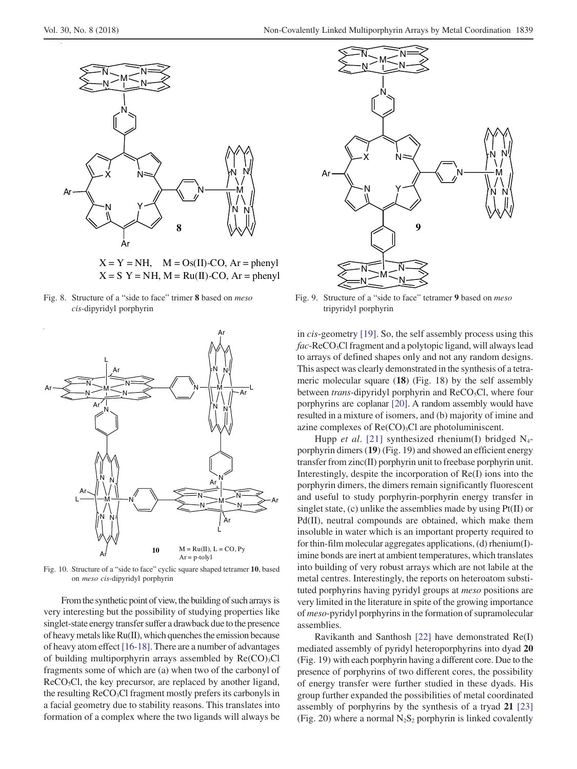

 $X = Y = NH$ ,  $M = Os(II)$ -CO, Ar = phenyl  $X = S$  Y = NH, M = Ru(II)-CO, Ar = phenyl

*cis*-dipyridyl porphyrin tripyridyl porphyrin tripyridyl porphyrin



Fig. 10. Structure of a "side to face" cyclic square shaped tetramer **10**, based on *meso cis*-dipyridyl porphyrin

From the synthetic point of view, the building of such arrays is very interesting but the possibility of studying properties like singlet-state energy transfer suffer a drawback due to the presence of heavy metals like Ru(II), which quenches the emission because of heavy atom effect [\[16-18\].](#page-8-0) There are a number of advantages of building multiporphyrin arrays assembled by  $Re(CO)_{3}Cl$ fragments some of which are (a) when two of the carbonyl of  $ReCO<sub>5</sub>Cl$ , the key precursor, are replaced by another ligand, the resulting  $ReCO<sub>3</sub>Cl$  fragment mostly prefers its carbonyls in a facial geometry due to stability reasons. This translates into formation of a complex where the two ligands will always be



Fig. 8. Structure of a "side to face" trimer **8** based on *meso* Fig. 9. Structure of a "side to face" tetramer **9** based on *meso*

in *cis*-geometry [\[19\].](#page-8-0) So, the self assembly process using this fac-ReCO<sub>3</sub>Cl fragment and a polytopic ligand, will always lead to arrays of defined shapes only and not any random designs. This aspect was clearly demonstrated in the synthesis of a tetrameric molecular square (**18**) (Fig. 18) by the self assembly between *trans*-dipyridyl porphyrin and ReCO<sub>5</sub>Cl, where four porphyrins are coplanar [\[20\]](#page-8-0). A random assembly would have resulted in a mixture of isomers, and (b) majority of imine and azine complexes of  $Re(CO)_{3}Cl$  are photoluminiscent.

Hupp *et al.* [\[21\]](#page-8-0) synthesized rhenium(I) bridged N<sub>4</sub>porphyrin dimers (**19**) (Fig. 19) and showed an efficient energy transfer from zinc(II) porphyrin unit to freebase porphyrin unit. Interestingly, despite the incorporation of Re(I) ions into the porphyrin dimers, the dimers remain significantly fluorescent and useful to study porphyrin-porphyrin energy transfer in singlet state, (c) unlike the assemblies made by using Pt(II) or Pd(II), neutral compounds are obtained, which make them insoluble in water which is an important property required to for thin-film molecular aggregates applications, (d) rhenium(I) imine bonds are inert at ambient temperatures, which translates into building of very robust arrays which are not labile at the metal centres. Interestingly, the reports on heteroatom substituted porphyrins having pyridyl groups at *meso* positions are very limited in the literature in spite of the growing importance of *meso*-pyridyl porphyrins in the formation of supramolecular assemblies.

Ravikanth and Santhosh [\[22\]](#page-8-0) have demonstrated Re(I) mediated assembly of pyridyl heteroporphyrins into dyad **20** (Fig. 19) with each porphyrin having a different core. Due to the presence of porphyrins of two different cores, the possibility of energy transfer were further studied in these dyads. His group further expanded the possibilities of metal coordinated assembly of porphyrins by the synthesis of a tryad **21** [\[23\]](#page-8-0) (Fig. 20) where a normal  $N_2S_2$  porphyrin is linked covalently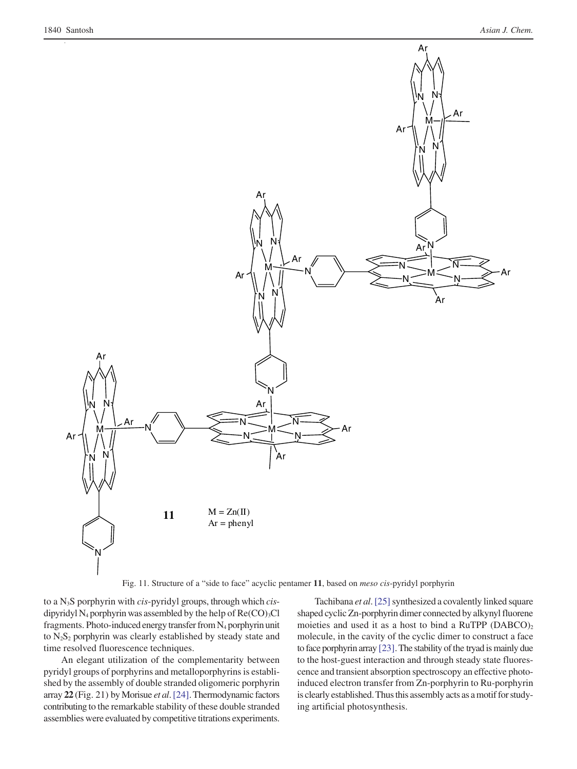

Fig. 11. Structure of a "side to face" acyclic pentamer **11**, based on *meso cis*-pyridyl porphyrin

to a N3S porphyrin with *cis*-pyridyl groups, through which *cis*dipyridyl N<sub>4</sub> porphyrin was assembled by the help of  $Re(CO)_{3}Cl$ fragments. Photo-induced energy transfer from N4 porphyrin unit to  $N_2S_2$  porphyrin was clearly established by steady state and time resolved fluorescence techniques.

An elegant utilization of the complementarity between pyridyl groups of porphyrins and metalloporphyrins is established by the assembly of double stranded oligomeric porphyrin array **22** (Fig. 21) by Morisue *et al*. [\[24\].](#page-8-0) Thermodynamic factors contributing to the remarkable stability of these double stranded assemblies were evaluated by competitive titrations experiments.

Tachibana *et al*. [\[25\]](#page-8-0) synthesized a covalently linked square shaped cyclic Zn-porphyrin dimer connected by alkynyl fluorene moieties and used it as a host to bind a RuTPP  $(DABCO)_2$ molecule, in the cavity of the cyclic dimer to construct a face to face porphyrin array [\[23\].](#page-8-0) The stability of the tryad is mainly due to the host-guest interaction and through steady state fluorescence and transient absorption spectroscopy an effective photoinduced electron transfer from Zn-porphyrin to Ru-porphyrin is clearly established. Thus this assembly acts as a motif for studying artificial photosynthesis.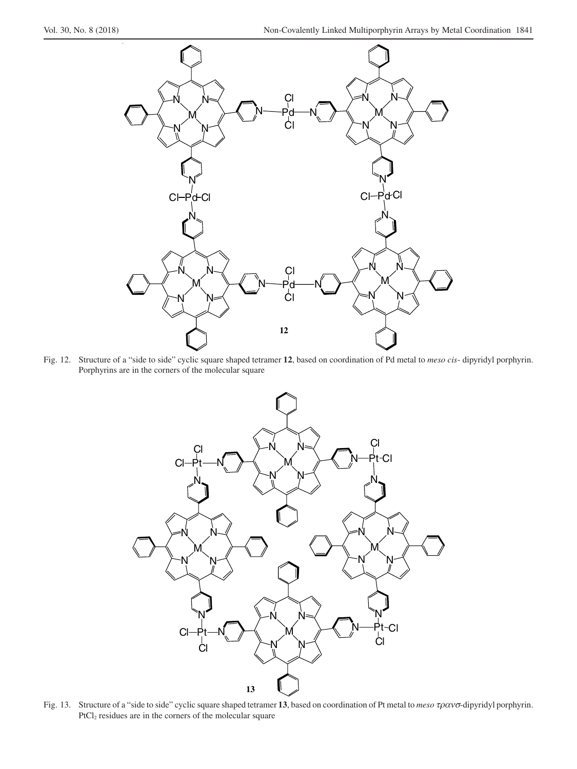

Fig. 12. Structure of a "side to side" cyclic square shaped tetramer **12**, based on coordination of Pd metal to *meso cis*- dipyridyl porphyrin. Porphyrins are in the corners of the molecular square



Fig. 13. Structure of a "side to side" cyclic square shaped tetramer **13**, based on coordination of Pt metal to *meso* τρανσ-dipyridyl porphyrin. PtCl<sub>2</sub> residues are in the corners of the molecular square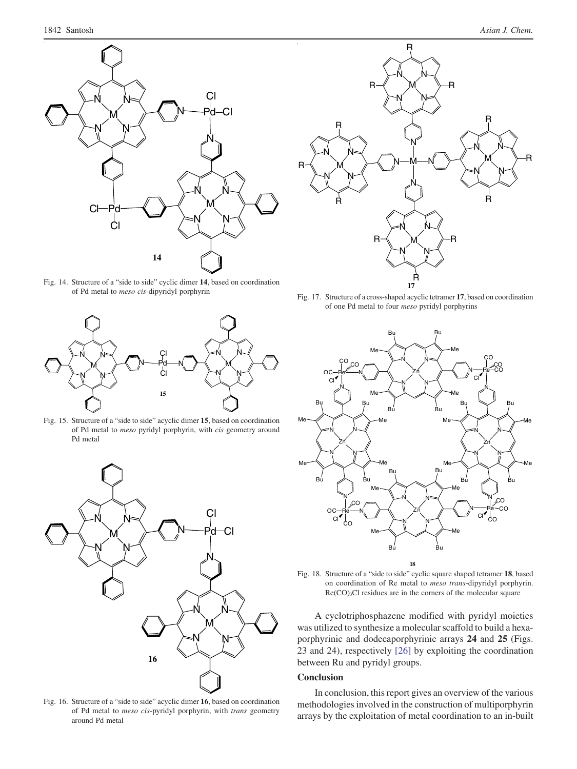

Fig. 14. Structure of a "side to side" cyclic dimer **14**, based on coordination of Pd metal to *meso cis*-dipyridyl porphyrin



Fig. 15. Structure of a "side to side" acyclic dimer **15**, based on coordination of Pd metal to *meso* pyridyl porphyrin, with *cis* geometry around Pd metal



Fig. 16. Structure of a "side to side" acyclic dimer **16**, based on coordination of Pd metal to *meso cis*-pyridyl porphyrin, with *trans* geometry around Pd metal



Fig. 17. Structure of a cross-shaped acyclic tetramer **17**, based on coordination of one Pd metal to four *meso* pyridyl porphyrins



Fig. 18. Structure of a "side to side" cyclic square shaped tetramer **18**, based on coordination of Re metal to *meso trans*-dipyridyl porphyrin. Re(CO)3Cl residues are in the corners of the molecular square

A cyclotriphosphazene modified with pyridyl moieties was utilized to synthesize a molecular scaffold to build a hexaporphyrinic and dodecaporphyrinic arrays **24** and **25** (Figs. 23 and 24), respectively [\[26\]](#page-8-0) by exploiting the coordination between Ru and pyridyl groups.

#### **Conclusion**

In conclusion, this report gives an overview of the various methodologies involved in the construction of multiporphyrin arrays by the exploitation of metal coordination to an in-built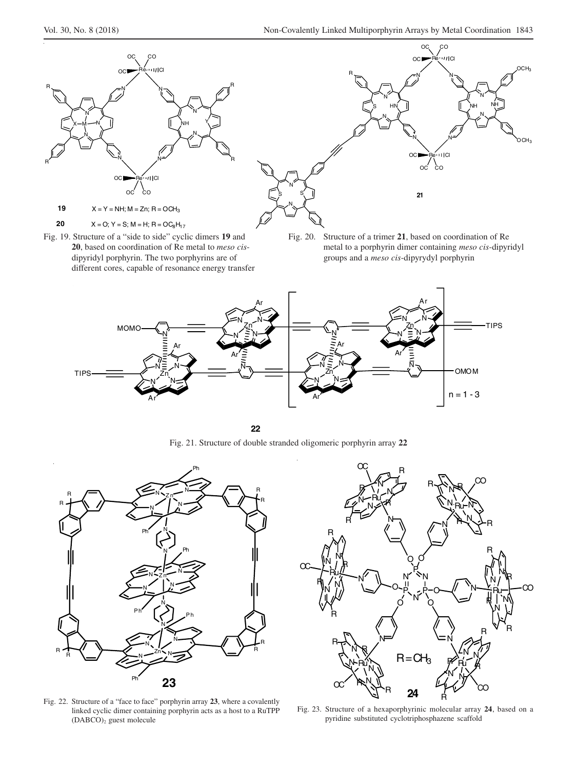

different cores, capable of resonance energy transfer



Fig. 19. Structure of a "side to side" cyclic dimers **19** and Fig. 20. Structure of a trimer **21**, based on coordination of Re **20**, based on coordination of Re metal to *meso cis*- metal to a porphyrin dimer containing *meso cis*-dipyridyl dipyridyl porphyrin. The two porphyrins are of groups and a *meso cis*-dipyrydyl porphyrin



**22**

Fig. 21. Structure of double stranded oligomeric porphyrin array **22**



Fig. 22. Structure of a "face to face" porphyrin array **23**, where a covalently linked cyclic dimer containing porphyrin acts as a host to a RuTPP (DABCO)2 guest molecule



Fig. 23. Structure of a hexaporphyrinic molecular array **24**, based on a pyridine substituted cyclotriphosphazene scaffold